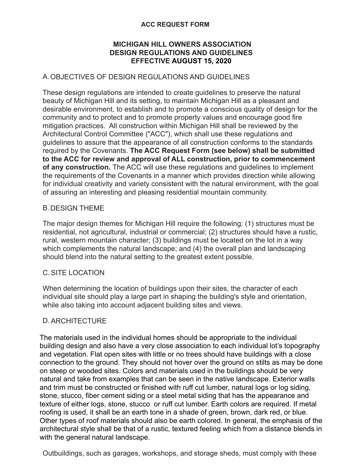#### **ACC REQUEST FORM**

#### **MICHIGAN HILL OWNERS ASSOCIATION DESIGN REGULATIONS AND GUIDELINES EFFECTIVE AUGUST 15, 2020**

# A.OBJECTIVES OF DESIGN REGULATIONS AND GUIDELINES

These design regulations are intended to create guidelines to preserve the natural beauty of Michigan Hill and its setting, to maintain Michigan Hill as a pleasant and desirable environment, to establish and to promote a conscious quality of design for the community and to protect and to promote property values and encourage good fire mitigation practices. All construction within Michigan Hill shall be reviewed by the Architectural Control Committee ("ACC"), which shall use these regulations and guidelines to assure that the appearance of all construction conforms to the standards required by the Covenants. **The ACC Request Form (see below) shall be submitted to the ACC for review and approval of ALL construction, prior to commencement of any construction.** The ACC will use these regulations and guidelines to implement the requirements of the Covenants in a manner which provides direction while allowing for individual creativity and variety consistent with the natural environment, with the goal of assuring an interesting and pleasing residential mountain community.

#### B.DESIGN THEME

The major design themes for Michigan Hill require the following: (1) structures must be residential, not agricultural, industrial or commercial; (2) structures should have a rustic, rural, western mountain character; (3) buildings must be located on the lot in a way which complements the natural landscape; and (4) the overall plan and landscaping should blend into the natural setting to the greatest extent possible.

#### C.SITE LOCATION

When determining the location of buildings upon their sites, the character of each individual site should play a large part in shaping the building's style and orientation, while also taking into account adjacent building sites and views.

# D.ARCHITECTURE

The materials used in the individual homes should be appropriate to the individual building design and also have a very close association to each individual lot's topography and vegetation. Flat open sites with little or no trees should have buildings with a close connection to the ground. They should not hover over the ground on stilts as may be done on steep or wooded sites. Colors and materials used in the buildings should be very natural and take from examples that can be seen in the native landscape. Exterior walls and trim must be constructed or finished with ruff cut lumber, natural logs or log siding, stone, stucco, fiber cement siding or a steel metal siding that has the appearance and texture of either logs, stone, stucco or ruff cut lumber. Earth colors are required. If metal roofing is used, it shall be an earth tone in a shade of green, brown, dark red, or blue. Other types of roof materials should also be earth colored. In general, the emphasis of the architectural style shall be that of a rustic, textured feeling which from a distance blends in with the general natural landscape.

Outbuildings, such as garages, workshops, and storage sheds, must comply with these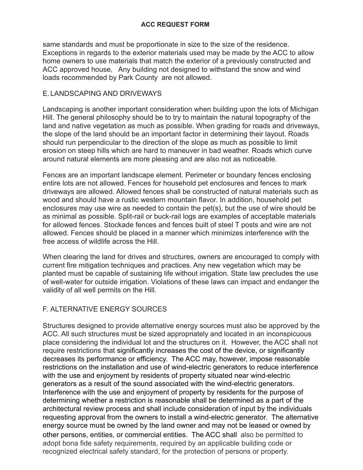same standards and must be proportionate in size to the size of the residence. Exceptions in regards to the exterior materials used may be made by the ACC to allow home owners to use materials that match the exterior of a previously constructed and ACC approved house, Any building not designed to withstand the snow and wind loads recommended by Park County are not allowed.

# E.LANDSCAPING AND DRIVEWAYS

Landscaping is another important consideration when building upon the lots of Michigan Hill. The general philosophy should be to try to maintain the natural topography of the land and native vegetation as much as possible. When grading for roads and driveways, the slope of the land should be an important factor in determining their layout. Roads should run perpendicular to the direction of the slope as much as possible to limit erosion on steep hills which are hard to maneuver in bad weather. Roads which curve around natural elements are more pleasing and are also not as noticeable.

Fences are an important landscape element. Perimeter or boundary fences enclosing entire lots are not allowed. Fences for household pet enclosures and fences to mark driveways are allowed. Allowed fences shall be constructed of natural materials such as wood and should have a rustic western mountain flavor. In addition, household pet enclosures may use wire as needed to contain the pet(s), but the use of wire should be as minimal as possible. Split-rail or buck-rail logs are examples of acceptable materials for allowed fences. Stockade fences and fences built of steel T posts and wire are not allowed. Fences should be placed in a manner which minimizes interference with the free access of wildlife across the Hill.

When clearing the land for drives and structures, owners are encouraged to comply with current fire mitigation techniques and practices. Any new vegetation which may be planted must be capable of sustaining life without irrigation. State law precludes the use of well-water for outside irrigation. Violations of these laws can impact and endanger the validity of all well permits on the Hill.

# F. ALTERNATIVE ENERGY SOURCES

Structures designed to provide alternative energy sources must also be approved by the ACC. All such structures must be sized appropriately and located in an inconspicuous place considering the individual lot and the structures on it. However, the ACC shall not require restrictions that significantly increases the cost of the device, or significantly decreases its performance or efficiency. The ACC may, however, impose reasonable restrictions on the installation and use of wind-electric generators to reduce interference with the use and enjoyment by residents of property situated near wind-electric generators as a result of the sound associated with the wind-electric generators. Interference with the use and enjoyment of property by residents for the purpose of determining whether a restriction is reasonable shall be determined as a part of the architectural review process and shall include consideration of input by the individuals requesting approval from the owners to install a wind-electric generator. The alternative energy source must be owned by the land owner and may not be leased or owned by other persons, entities, or commercial entities. The ACC shall also be permitted to adopt bona fide safety requirements, required by an applicable building code or recognized electrical safety standard, for the protection of persons or property.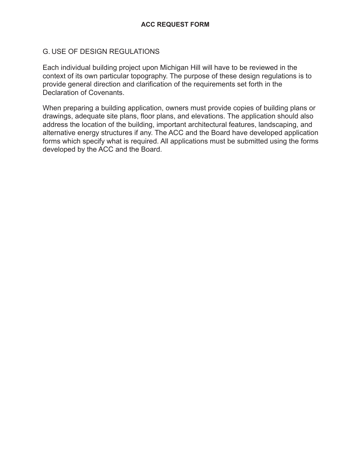# G. USE OF DESIGN REGULATIONS

Each individual building project upon Michigan Hill will have to be reviewed in the context of its own particular topography. The purpose of these design regulations is to provide general direction and clarification of the requirements set forth in the Declaration of Covenants.

When preparing a building application, owners must provide copies of building plans or drawings, adequate site plans, floor plans, and elevations. The application should also address the location of the building, important architectural features, landscaping, and alternative energy structures if any. The ACC and the Board have developed application forms which specify what is required. All applications must be submitted using the forms developed by the ACC and the Board.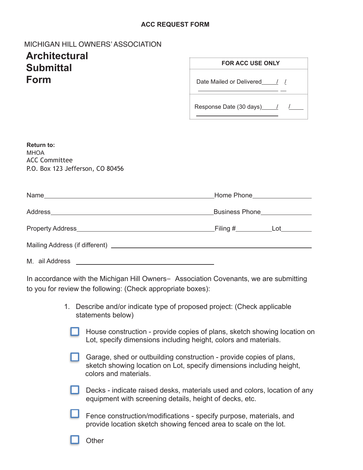#### **ACC REQUEST FORM**

# MICHIGAN HILL OWNERS' ASSOCIATION

# **Architectural Submittal Form**

| <b>FOR ACC USE ONLY</b>    |  |  |
|----------------------------|--|--|
| Date Mailed or Delivered / |  |  |
| Response Date (30 days) 1  |  |  |

| <b>Return to:</b><br><b>MHOA</b><br><b>ACC Committee</b><br>P.O. Box 123 Jefferson, CO 80456 |                                        |
|----------------------------------------------------------------------------------------------|----------------------------------------|
|                                                                                              | Home Phone___________________          |
|                                                                                              | Business Phone _______________         |
|                                                                                              | _Filing #_______________Lot___________ |
|                                                                                              |                                        |
| M. ail Address                                                                               |                                        |

In accordance with the Michigan Hill Owners= Association Covenants, we are submitting to you for review the following: (Check appropriate boxes):

- 1. Describe and/or indicate type of proposed project: (Check applicable statements below)
	- House construction provide copies of plans, sketch showing location on Lot, specify dimensions including height, colors and materials.
	- Garage, shed or outbuilding construction provide copies of plans, sketch showing location on Lot, specify dimensions including height, colors and materials.
	- Decks indicate raised desks, materials used and colors, location of any equipment with screening details, height of decks, etc.
	- Fence construction/modifications specify purpose, materials, and provide location sketch showing fenced area to scale on the lot.

**Other**